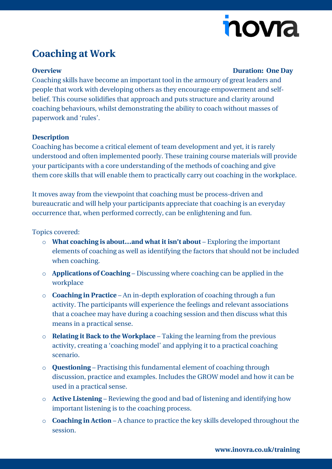# novra

## **Coaching at Work**

#### **Overview Duration: One Day**

Coaching skills have become an important tool in the armoury of great leaders and people that work with developing others as they encourage empowerment and selfbelief. This course solidifies that approach and puts structure and clarity around coaching behaviours, whilst demonstrating the ability to coach without masses of paperwork and 'rules'.

#### **Description**

Coaching has become a critical element of team development and yet, it is rarely understood and often implemented poorly. These training course materials will provide your participants with a core understanding of the methods of coaching and give them core skills that will enable them to practically carry out coaching in the workplace.

It moves away from the viewpoint that coaching must be process-driven and bureaucratic and will help your participants appreciate that coaching is an everyday occurrence that, when performed correctly, can be enlightening and fun.

Topics covered:

- o **What coaching is about…and what it isn't about** Exploring the important elements of coaching as well as identifying the factors that should not be included when coaching.
- o **Applications of Coaching** Discussing where coaching can be applied in the workplace
- o **Coaching in Practice** An in-depth exploration of coaching through a fun activity. The participants will experience the feelings and relevant associations that a coachee may have during a coaching session and then discuss what this means in a practical sense.
- o **Relating it Back to the Workplace** Taking the learning from the previous activity, creating a 'coaching model' and applying it to a practical coaching scenario.
- o **Questioning** Practising this fundamental element of coaching through discussion, practice and examples. Includes the GROW model and how it can be used in a practical sense.
- o **Active Listening** Reviewing the good and bad of listening and identifying how important listening is to the coaching process.
- o **Coaching in Action** A chance to practice the key skills developed throughout the session.